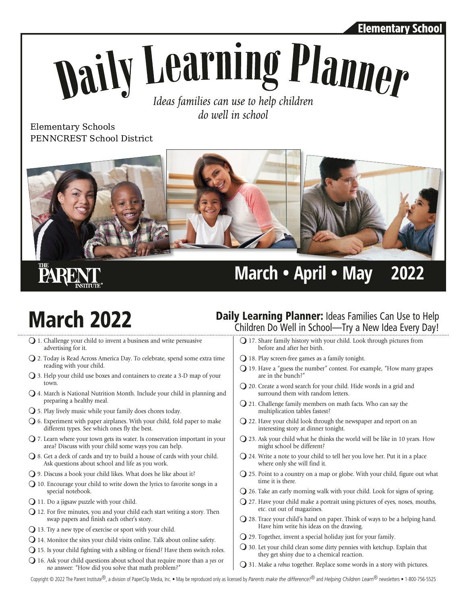#### Elementary School

# **Naily Learning Planner** Ideas families can use to help children

do well in school

Elementary Schools PENNCREST School District



## **PARE**

#### **March • April • May 2022**

- $\bigcirc$  1. Challenge your child to invent a business and write persuasive advertising for it.
- Q 2. Today is Read Across America Day. To celebrate, spend some extra time reading with your child.
- $\bigcirc$  3. Help your child use boxes and containers to create a 3-D map of your town.
- $Q$  4. March is National Nutrition Month. Include your child in planning and preparing a healthy meal.
- $\bigcirc$  5. Play lively music while your family does chores today.
- $\Omega$  6. Experiment with paper airplanes. With your child, fold paper to make different types. See which ones fly the best.
- $\bigcirc$  7. Learn where your town gets its water. Is conservation important in your area? Discuss with your child some ways you can help.
- $\bigcirc$  8. Get a deck of cards and try to build a house of cards with your child. Ask questions about school and life as you work.
- $\bigcirc$  9. Discuss a book your child likes. What does he like about it?
- $\bigcirc$  10. Encourage your child to write down the lyrics to favorite songs in a special notebook.
- $Q$  11. Do a jigsaw puzzle with your child.
- $Q$  12. For five minutes, you and your child each start writing a story. Then swap papers and finish each other's story.
- $\bigcirc$  13. Try a new type of exercise or sport with your child.
- $Q$  14. Monitor the sites your child visits online. Talk about online safety.
- $\bigcirc$  15. Is your child fighting with a sibling or friend? Have them switch roles.
- m16. Ask your child questions about school that require more than a *yes* or *no* answer: "How did you solve that math problem?"

### **March 2022** Daily Learning Planner: Ideas Families Can Use to Help Children Do Well in School—Try a New Idea Every Day!

- $Q$  17. Share family history with your child. Look through pictures from before and after her birth.
- $\Omega$  18. Play screen-free games as a family tonight.
- $Q$  19. Have a "guess the number" contest. For example, "How many grapes are in the bunch?"
- $Q$  20. Create a word search for your child. Hide words in a grid and surround them with random letters.
- $Q$  21. Challenge family members on math facts. Who can say the multiplication tables fastest?
- $\Omega$  22. Have your child look through the newspaper and report on an interesting story at dinner tonight.
- $\bigcirc$  23. Ask your child what he thinks the world will be like in 10 years. How might school be different?
- $Q$  24. Write a note to your child to tell her you love her. Put it in a place where only she will find it.
- $Q$  25. Point to a country on a map or globe. With your child, figure out what time it is there.
- $Q$  26. Take an early morning walk with your child. Look for signs of spring.
- $Q$  27. Have your child make a portrait using pictures of eyes, noses, mouths, etc. cut out of magazines.
- $\bigcirc$  28. Trace your child's hand on paper. Think of ways to be a helping hand. Have him write his ideas on the drawing.
- $Q$  29. Together, invent a special holiday just for your family.
- $\bigcirc$  30. Let your child clean some dirty pennies with ketchup. Explain that they get shiny due to a chemical reaction.
- m31. Make a *rebus* together. Replace some words in a story with pictures.

Copyright © 2022 The Parent Institute®, a division of PaperClip Media, Inc. • May be reproduced only as licensed by *Parents make the difference!*® and *Helping Children Learn*® newsletters • 1-800-756-5525